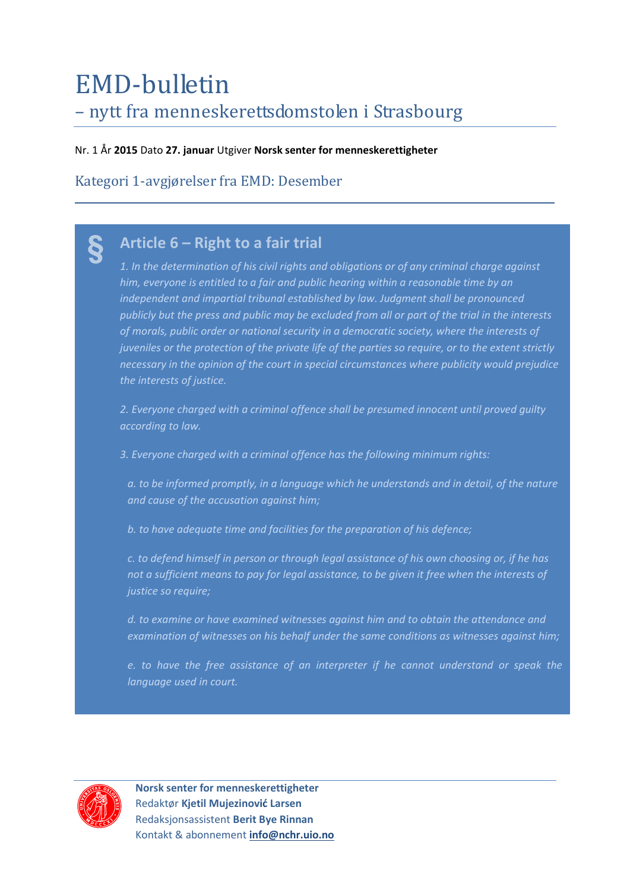# EMD-bulletin – nytt fra menneskerettsdomstolen i Strasbourg

Nr. 1 År **2015** Dato **27. januar** Utgiver **Norsk senter for menneskerettigheter**

Kategori 1-avgjørelser fra EMD: Desember

# **Article 6 – Right to a fair trial §**

*1. In the determination of his civil rights and obligations or of any criminal charge against him, everyone is entitled to a fair and public hearing within a reasonable time by an independent and impartial tribunal established by law. Judgment shall be pronounced publicly but the press and public may be excluded from all or part of the trial in the interests of morals, public order or national security in a democratic society, where the interests of juveniles or the protection of the private life of the parties so require, or to the extent strictly necessary in the opinion of the court in special circumstances where publicity would prejudice the interests of justice.* 

*2. Everyone charged with a criminal offence shall be presumed innocent until proved guilty according to law.* 

*3. Everyone charged with a criminal offence has the following minimum rights:* 

*a. to be informed promptly, in a language which he understands and in detail, of the nature and cause of the accusation against him;* 

*b. to have adequate time and facilities for the preparation of his defence;* 

*c. to defend himself in person or through legal assistance of his own choosing or, if he has not a sufficient means to pay for legal assistance, to be given it free when the interests of justice so require;* 

*d. to examine or have examined witnesses against him and to obtain the attendance and examination of witnesses on his behalf under the same conditions as witnesses against him;* 

*e. to have the free assistance of an interpreter if he cannot understand or speak the language used in court.*



 **Norsk senter for menneskerettigheter** Redaktør **Kjetil Mujezinović Larsen** Redaksjonsassistent **Berit Bye Rinnan** Kontakt & abonnement **[info@nchr.uio.no](mailto:info@nchr.uio.no)**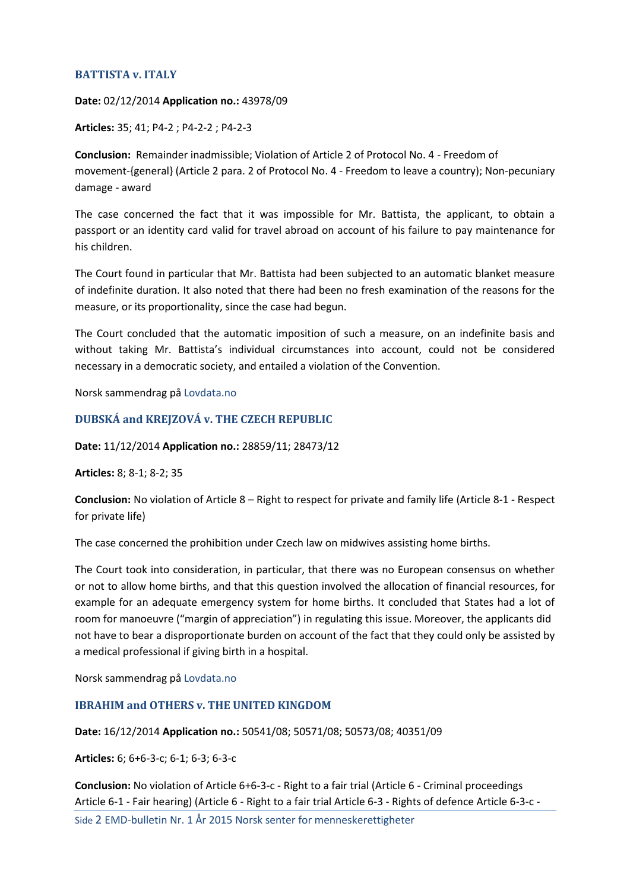## **[BATTISTA](http://hudoc.echr.coe.int/sites/eng/pages/search.aspx?i=001-148683) v. ITALY**

**Date:** 02/12/2014 **Application no.:** 43978/09

**Articles:** 35; 41; P4-2 ; P4-2-2 ; P4-2-3

**Conclusion:** Remainder inadmissible; Violation of Article 2 of Protocol No. 4 - Freedom of movement-{general} (Article 2 para. 2 of Protocol No. 4 - Freedom to leave a country); Non-pecuniary damage - award

The case concerned the fact that it was impossible for Mr. Battista, the applicant, to obtain a passport or an identity card valid for travel abroad on account of his failure to pay maintenance for his children.

The Court found in particular that Mr. Battista had been subjected to an automatic blanket measure of indefinite duration. It also noted that there had been no fresh examination of the reasons for the measure, or its proportionality, since the case had begun.

The Court concluded that the automatic imposition of such a measure, on an indefinite basis and without taking Mr. Battista's individual circumstances into account, could not be considered necessary in a democratic society, and entailed a violation of the Convention.

Norsk sammendrag på [Lovdata.no](https://lovdata.no/dokument/EMDN/avgjorelse/emdn-2009-43978-itali)

## **[DUBSKÁ and KREJZOVÁ v. THE CZECH REPUBLIC](http://hudoc.echr.coe.int/sites/eng/pages/search.aspx?i=001-148632)**

**Date:** 11/12/2014 **Application no.:** 28859/11; 28473/12

**Articles:** 8; 8-1; 8-2; 35

**Conclusion:** No violation of Article 8 – Right to respect for private and family life (Article 8-1 - Respect for private life)

The case concerned the prohibition under Czech law on midwives assisting home births.

The Court took into consideration, in particular, that there was no European consensus on whether or not to allow home births, and that this question involved the allocation of financial resources, for example for an adequate emergency system for home births. It concluded that States had a lot of room for manoeuvre ("margin of appreciation") in regulating this issue. Moreover, the applicants did not have to bear a disproportionate burden on account of the fact that they could only be assisted by a medical professional if giving birth in a hospital.

Norsk sammendrag på [Lovdata.no](https://lovdata.no/dokument/EMDN/avgjorelse/emdn-2011-28859-tsjek)

### **[IBRAHIM and OTHERS v. THE UNITED KINGDOM](http://hudoc.echr.coe.int/sites/eng/pages/search.aspx?i=001-148676)**

**Date:** 16/12/2014 **Application no.:** 50541/08; 50571/08; 50573/08; 40351/09

**Articles:** 6; 6+6-3-c; 6-1; 6-3; 6-3-c

**Conclusion:** No violation of Article 6+6-3-c - Right to a fair trial (Article 6 - Criminal proceedings Article 6-1 - Fair hearing) (Article 6 - Right to a fair trial Article 6-3 - Rights of defence Article 6-3-c -

Side 2 EMD-bulletin Nr. 1 År 2015 Norsk senter for menneskerettigheter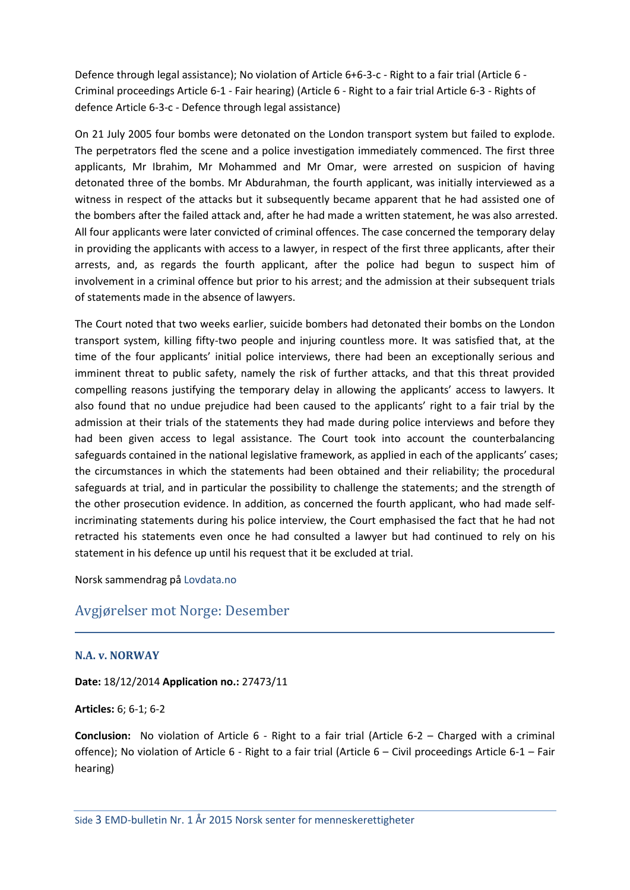Defence through legal assistance); No violation of Article 6+6-3-c - Right to a fair trial (Article 6 - Criminal proceedings Article 6-1 - Fair hearing) (Article 6 - Right to a fair trial Article 6-3 - Rights of defence Article 6-3-c - Defence through legal assistance)

On 21 July 2005 four bombs were detonated on the London transport system but failed to explode. The perpetrators fled the scene and a police investigation immediately commenced. The first three applicants, Mr Ibrahim, Mr Mohammed and Mr Omar, were arrested on suspicion of having detonated three of the bombs. Mr Abdurahman, the fourth applicant, was initially interviewed as a witness in respect of the attacks but it subsequently became apparent that he had assisted one of the bombers after the failed attack and, after he had made a written statement, he was also arrested. All four applicants were later convicted of criminal offences. The case concerned the temporary delay in providing the applicants with access to a lawyer, in respect of the first three applicants, after their arrests, and, as regards the fourth applicant, after the police had begun to suspect him of involvement in a criminal offence but prior to his arrest; and the admission at their subsequent trials of statements made in the absence of lawyers.

The Court noted that two weeks earlier, suicide bombers had detonated their bombs on the London transport system, killing fifty-two people and injuring countless more. It was satisfied that, at the time of the four applicants' initial police interviews, there had been an exceptionally serious and imminent threat to public safety, namely the risk of further attacks, and that this threat provided compelling reasons justifying the temporary delay in allowing the applicants' access to lawyers. It also found that no undue prejudice had been caused to the applicants' right to a fair trial by the admission at their trials of the statements they had made during police interviews and before they had been given access to legal assistance. The Court took into account the counterbalancing safeguards contained in the national legislative framework, as applied in each of the applicants' cases; the circumstances in which the statements had been obtained and their reliability; the procedural safeguards at trial, and in particular the possibility to challenge the statements; and the strength of the other prosecution evidence. In addition, as concerned the fourth applicant, who had made selfincriminating statements during his police interview, the Court emphasised the fact that he had not retracted his statements even once he had consulted a lawyer but had continued to rely on his statement in his defence up until his request that it be excluded at trial.

Norsk sammendrag på [Lovdata.no](https://lovdata.no/dokument/EMDN/avgjorelse/emdn-2008-50541-storb)

## Avgjørelser mot Norge: Desember

### **N.A. [v. NORWAY](http://hudoc.echr.coe.int/sites/eng/pages/search.aspx?i=001-148642)**

**Date:** 18/12/2014 **Application no.:** 27473/11

**Articles:** 6; 6-1; 6-2

**Conclusion:** No violation of Article 6 - Right to a fair trial (Article 6-2 – Charged with a criminal offence); No violation of Article 6 - Right to a fair trial (Article 6 – Civil proceedings Article 6-1 – Fair hearing)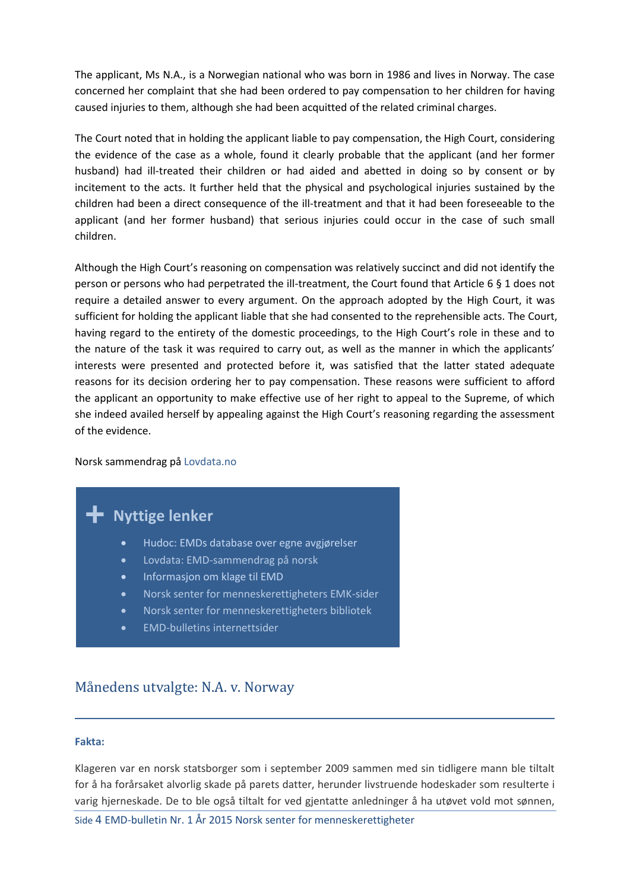The applicant, Ms N.A., is a Norwegian national who was born in 1986 and lives in Norway. The case concerned her complaint that she had been ordered to pay compensation to her children for having caused injuries to them, although she had been acquitted of the related criminal charges.

The Court noted that in holding the applicant liable to pay compensation, the High Court, considering the evidence of the case as a whole, found it clearly probable that the applicant (and her former husband) had ill-treated their children or had aided and abetted in doing so by consent or by incitement to the acts. It further held that the physical and psychological injuries sustained by the children had been a direct consequence of the ill-treatment and that it had been foreseeable to the applicant (and her former husband) that serious injuries could occur in the case of such small children.

Although the High Court's reasoning on compensation was relatively succinct and did not identify the person or persons who had perpetrated the ill-treatment, the Court found that Article 6 § 1 does not require a detailed answer to every argument. On the approach adopted by the High Court, it was sufficient for holding the applicant liable that she had consented to the reprehensible acts. The Court, having regard to the entirety of the domestic proceedings, to the High Court's role in these and to the nature of the task it was required to carry out, as well as the manner in which the applicants' interests were presented and protected before it, was satisfied that the latter stated adequate reasons for its decision ordering her to pay compensation. These reasons were sufficient to afford the applicant an opportunity to make effective use of her right to appeal to the Supreme, of which she indeed availed herself by appealing against the High Court's reasoning regarding the assessment of the evidence.

### Norsk sammendrag på [Lovdata.no](https://lovdata.no/dokument/EMDN/avgjorelse/emdn-2011-27473-norge)

# **Nyttige lenker +**

- [Hudoc: EMDs database over egne avgjørelser](http://www.echr.coe.int/Pages/home.aspx?p=caselaw/HUDOC&c=)
- [Lovdata: EMD-sammendrag på norsk](http://www.lovdata.no/avg/emdn/index.html)
- [Informasjon om klage til EMD](http://www.echr.coe.int/Pages/home.aspx?p=applicants&c=#n1357809840531_pointer)
- [Norsk senter for menneskerettigheters EMK-sider](http://www.jus.uio.no/smr/om/nasjonal-institusjon/emd/)
- [Norsk senter for menneskerettigheters bibliotek](http://www.jus.uio.no/smr/tjenester/bibliotek/)
- [EMD-bulletins internettsider](http://www.jus.uio.no/smr/om/nasjonal-institusjon/publikasjoner/emd-bulletin/index.html)

## Månedens utvalgte: N.A. v. Norway

#### **Fakta:**

Klageren var en norsk statsborger som i september 2009 sammen med sin tidligere mann ble tiltalt for å ha forårsaket alvorlig skade på parets datter, herunder livstruende hodeskader som resulterte i varig hjerneskade. De to ble også tiltalt for ved gjentatte anledninger å ha utøvet vold mot sønnen,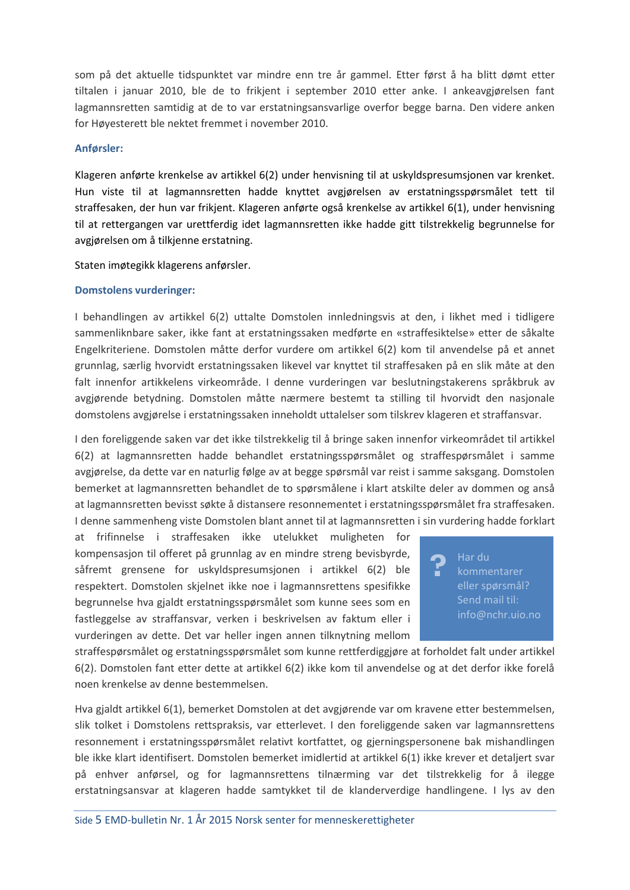som på det aktuelle tidspunktet var mindre enn tre år gammel. Etter først å ha blitt dømt etter tiltalen i januar 2010, ble de to frikjent i september 2010 etter anke. I ankeavgjørelsen fant lagmannsretten samtidig at de to var erstatningsansvarlige overfor begge barna. Den videre anken for Høyesterett ble nektet fremmet i november 2010.

#### **Anførsler:**

Klageren anførte krenkelse av artikkel 6(2) under henvisning til at uskyldspresumsjonen var krenket. Hun viste til at lagmannsretten hadde knyttet avgjørelsen av erstatningsspørsmålet tett til straffesaken, der hun var frikjent. Klageren anførte også krenkelse av artikkel 6(1), under henvisning til at rettergangen var urettferdig idet lagmannsretten ikke hadde gitt tilstrekkelig begrunnelse for avgjørelsen om å tilkjenne erstatning.

Staten imøtegikk klagerens anførsler.

#### **Domstolens vurderinger:**

I behandlingen av artikkel 6(2) uttalte Domstolen innledningsvis at den, i likhet med i tidligere sammenliknbare saker, ikke fant at erstatningssaken medførte en «straffesiktelse» etter de såkalte Engelkriteriene. Domstolen måtte derfor vurdere om artikkel 6(2) kom til anvendelse på et annet grunnlag, særlig hvorvidt erstatningssaken likevel var knyttet til straffesaken på en slik måte at den falt innenfor artikkelens virkeområde. I denne vurderingen var beslutningstakerens språkbruk av avgjørende betydning. Domstolen måtte nærmere bestemt ta stilling til hvorvidt den nasjonale domstolens avgjørelse i erstatningssaken inneholdt uttalelser som tilskrev klageren et straffansvar.

I den foreliggende saken var det ikke tilstrekkelig til å bringe saken innenfor virkeområdet til artikkel 6(2) at lagmannsretten hadde behandlet erstatningsspørsmålet og straffespørsmålet i samme avgjørelse, da dette var en naturlig følge av at begge spørsmål var reist i samme saksgang. Domstolen bemerket at lagmannsretten behandlet de to spørsmålene i klart atskilte deler av dommen og anså at lagmannsretten bevisst søkte å distansere resonnementet i erstatningsspørsmålet fra straffesaken. I denne sammenheng viste Domstolen blant annet til at lagmannsretten i sin vurdering hadde forklart

at frifinnelse i straffesaken ikke utelukket muligheten for kompensasjon til offeret på grunnlag av en mindre streng bevisbyrde, såfremt grensene for uskyldspresumsjonen i artikkel 6(2) ble respektert. Domstolen skjelnet ikke noe i lagmannsrettens spesifikke begrunnelse hva gjaldt erstatningsspørsmålet som kunne sees som en fastleggelse av straffansvar, verken i beskrivelsen av faktum eller i vurderingen av dette. Det var heller ingen annen tilknytning mellom

Har du eller spørsmål? Send mail til: info@nchr.uio.no **?**

straffespørsmålet og erstatningsspørsmålet som kunne rettferdiggjøre at forholdet falt under artikkel 6(2). Domstolen fant etter dette at artikkel 6(2) ikke kom til anvendelse og at det derfor ikke forelå noen krenkelse av denne bestemmelsen.

Hva gjaldt artikkel 6(1), bemerket Domstolen at det avgjørende var om kravene etter bestemmelsen, slik tolket i Domstolens rettspraksis, var etterlevet. I den foreliggende saken var lagmannsrettens resonnement i erstatningsspørsmålet relativt kortfattet, og gjerningspersonene bak mishandlingen ble ikke klart identifisert. Domstolen bemerket imidlertid at artikkel 6(1) ikke krever et detaljert svar på enhver anførsel, og for lagmannsrettens tilnærming var det tilstrekkelig for å ilegge erstatningsansvar at klageren hadde samtykket til de klanderverdige handlingene. I lys av den